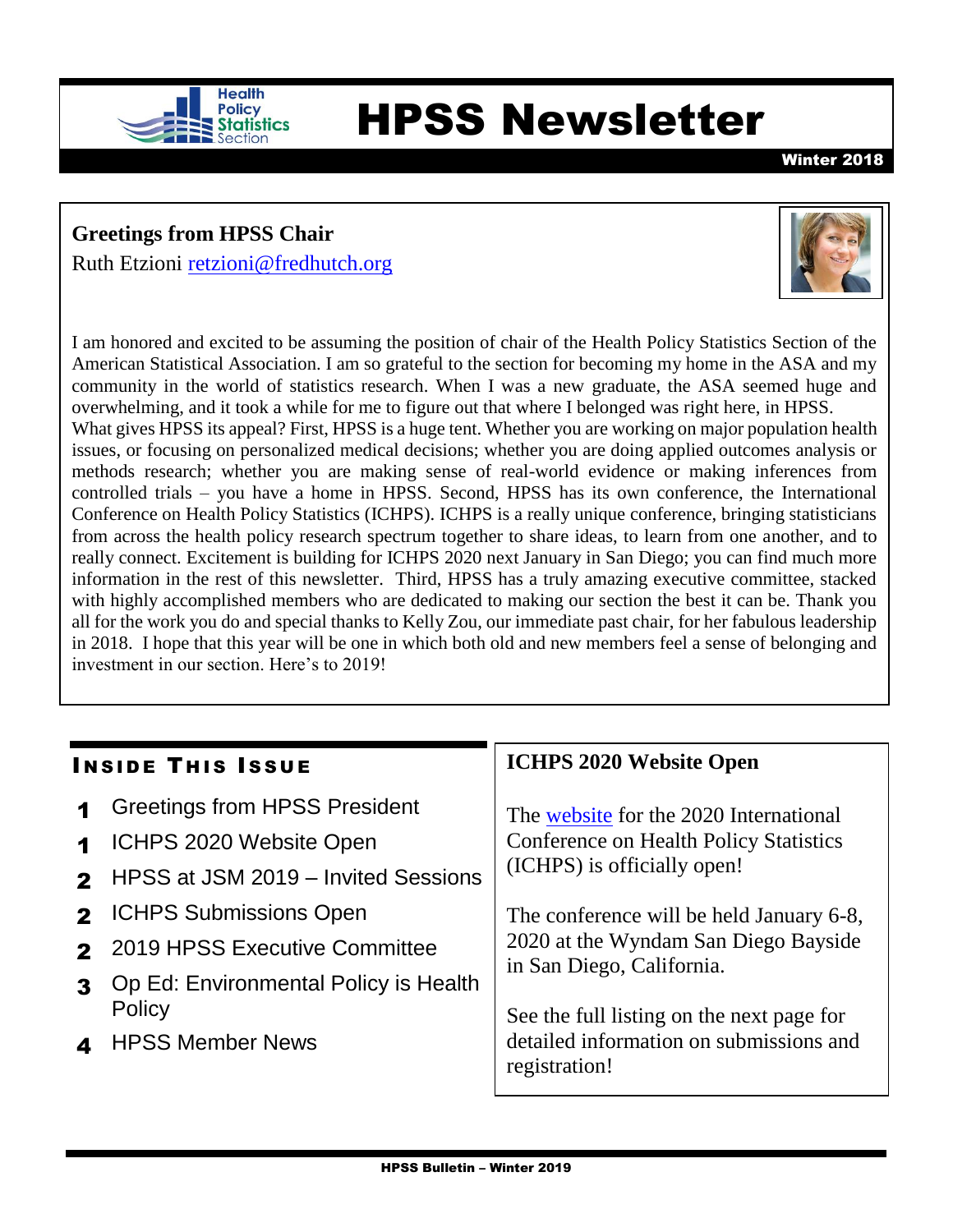

# Health<br>**Shafistics** HPSS Newsletter

Winter 2018

## **Greetings from HPSS Chair**

Ruth Etzioni [retzioni@fredhutch.org](mailto:retzioni@fredhutch.org)



I am honored and excited to be assuming the position of chair of the Health Policy Statistics Section of the American Statistical Association. I am so grateful to the section for becoming my home in the ASA and my community in the world of statistics research. When I was a new graduate, the ASA seemed huge and overwhelming, and it took a while for me to figure out that where I belonged was right here, in HPSS. What gives HPSS its appeal? First, HPSS is a huge tent. Whether you are working on major population health issues, or focusing on personalized medical decisions; whether you are doing applied outcomes analysis or methods research; whether you are making sense of real-world evidence or making inferences from controlled trials – you have a home in HPSS. Second, HPSS has its own conference, the International Conference on Health Policy Statistics (ICHPS). ICHPS is a really unique conference, bringing statisticians from across the health policy research spectrum together to share ideas, to learn from one another, and to really connect. Excitement is building for ICHPS 2020 next January in San Diego; you can find much more information in the rest of this newsletter. Third, HPSS has a truly amazing executive committee, stacked with highly accomplished members who are dedicated to making our section the best it can be. Thank you all for the work you do and special thanks to Kelly Zou, our immediate past chair, for her fabulous leadership in 2018. I hope that this year will be one in which both old and new members feel a sense of belonging and investment in our section. Here's to 2019!

#### **INSIDE THIS ISSUE**

- **1** Greetings from HPSS President
- 1 ICHPS 2020 Website Open
- **2** HPSS at JSM 2019 Invited Sessions
- **2** ICHPS Submissions Open
- 2 2019 HPSS Executive Committee
- 3 Op Ed: Environmental Policy is Health **Policy**
- 4 HPSS Member News

### **ICHPS 2020 Website Open**

The [website](http://ww2.amstat.org/meetings/ichps/2020/) for the 2020 International Conference on Health Policy Statistics (ICHPS) is officially open!

The conference will be held January 6-8, 2020 at the Wyndam San Diego Bayside in San Diego, California.

See the full listing on the next page for detailed information on submissions and registration!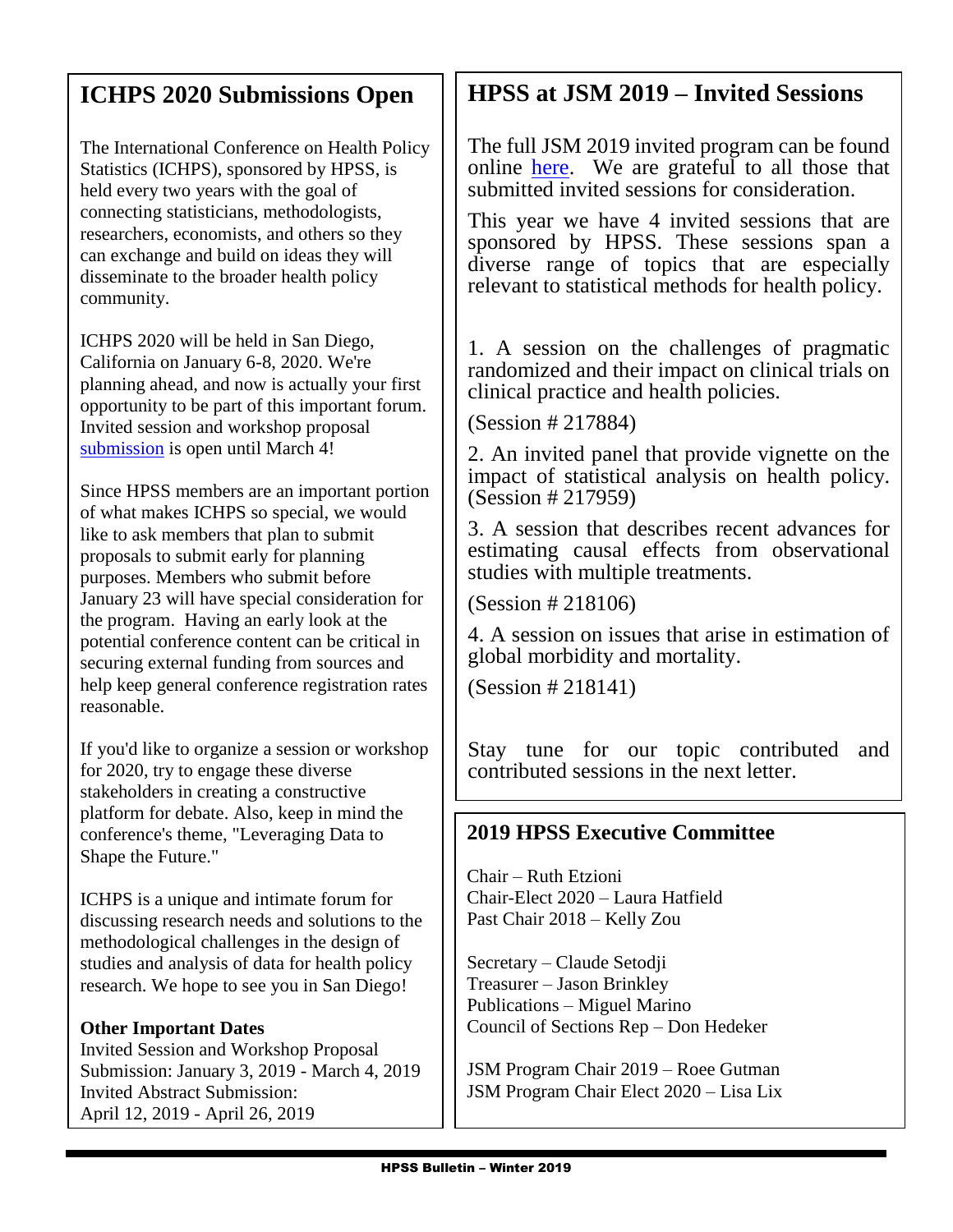## **ICHPS 2020 Submissions Open**

The International Conference on Health Policy Statistics (ICHPS), sponsored by HPSS, is held every two years with the goal of connecting statisticians, methodologists, researchers, economists, and others so they can exchange and build on ideas they will disseminate to the broader health policy community.

ICHPS 2020 will be held in San Diego, California on January 6-8, 2020. We're planning ahead, and now is actually your first opportunity to be part of this important forum. Invited session and workshop proposal [submission](http://ww2.amstat.org/meetings/ichps/2020/proposals/index.cfm) is open until March 4!

Since HPSS members are an important portion of what makes ICHPS so special, we would like to ask members that plan to submit proposals to submit early for planning purposes. Members who submit before January 23 will have special consideration for the program. Having an early look at the potential conference content can be critical in securing external funding from sources and help keep general conference registration rates reasonable.

If you'd like to organize a session or workshop for 2020, try to engage these diverse stakeholders in creating a constructive platform for debate. Also, keep in mind the conference's theme, "Leveraging Data to Shape the Future."

ICHPS is a unique and intimate forum for discussing research needs and solutions to the methodological challenges in the design of studies and analysis of data for health policy research. We hope to see you in San Diego!

#### **Other Important Dates**

May 1, 2019 - June 28, 2019

Invited Session and Workshop Proposal Submission: January 3, 2019 - March 4, 2019 Invited Abstract Submission: April 12, 2019 - April 26, 2019

Contributed and Poster Abstract Submission:

# **HPSS at JSM 2019 – Invited Sessions**

The full JSM 2019 invited program can be found online [here.](http://ww2.amstat.org/meetings/jsm/2019/onlineprogram/index.cfm) We are grateful to all those that submitted invited sessions for consideration.

This year we have 4 invited sessions that are sponsored by HPSS. These sessions span a diverse range of topics that are especially relevant to statistical methods for health policy.

1. A session on the challenges of pragmatic randomized and their impact on clinical trials on clinical practice and health policies.

(Session # 217884)

2. An invited panel that provide vignette on the impact of statistical analysis on health policy. (Session # 217959)

3. A session that describes recent advances for estimating causal effects from observational studies with multiple treatments.

(Session # 218106)

4. A session on issues that arise in estimation of global morbidity and mortality.

(Session # 218141)

Stay tune for our topic contributed and contributed sessions in the next letter.

### **2019 HPSS Executive Committee**

Chair – Ruth Etzioni Chair-Elect 2020 – Laura Hatfield Past Chair 2018 – Kelly Zou

Secretary – Claude Setodji Treasurer – Jason Brinkley Publications – Miguel Marino Council of Sections Rep – Don Hedeker

JSM Program Chair 2019 – Roee Gutman JSM Program Chair Elect 2020 – Lisa Lix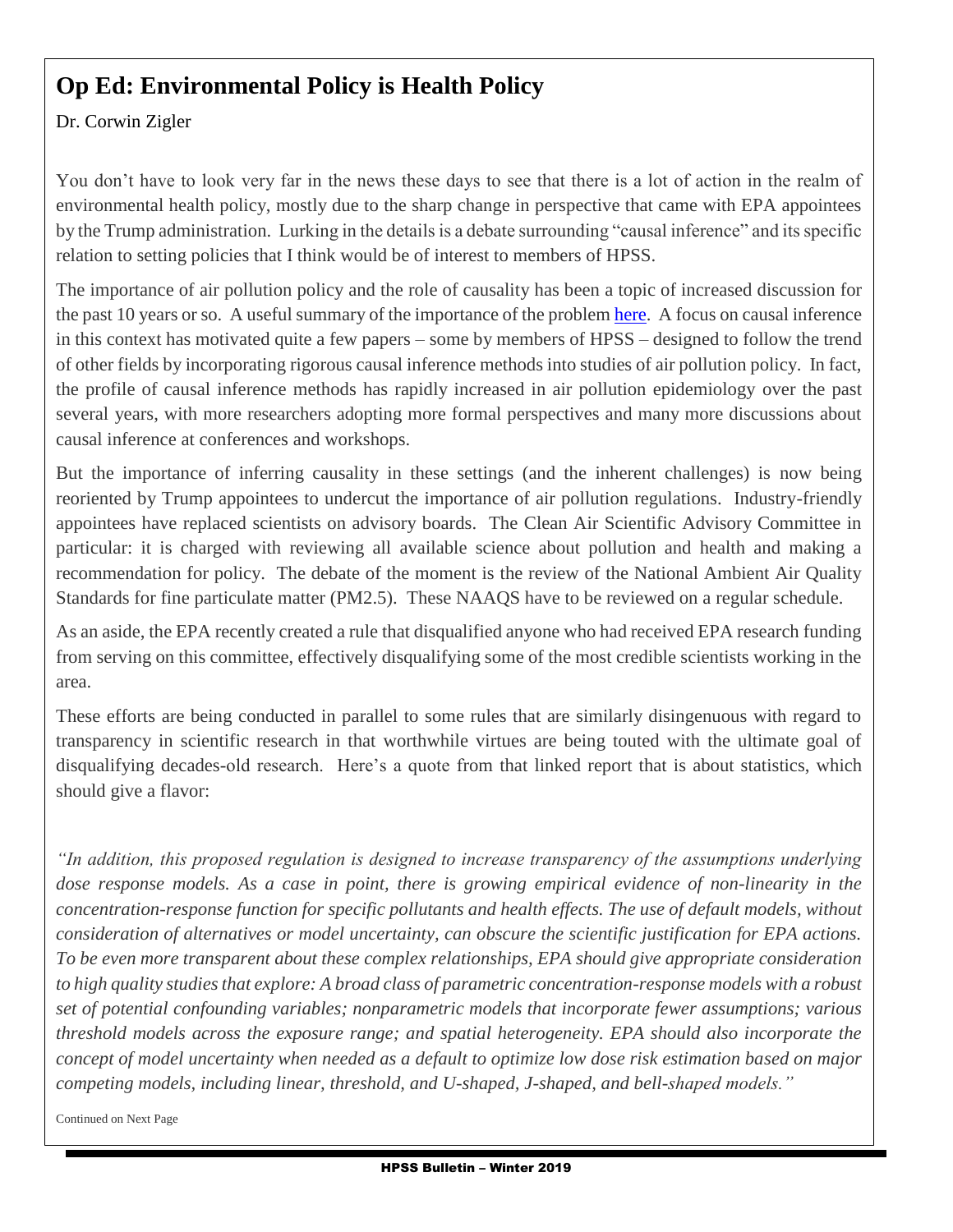# **Op Ed: Environmental Policy is Health Policy**

#### Dr. Corwin Zigler

You don't have to look very far in the news these days to see that there is a lot of action in the realm of environmental health policy, mostly due to the sharp change in perspective that came with EPA appointees by the Trump administration. Lurking in the details is a debate surrounding "causal inference" and its specific relation to setting policies that I think would be of interest to members of HPSS.

The importance of air pollution policy and the role of causality has been a topic of increased discussion for the past 10 years or so. A useful summary of the importance of the proble[m here.](http://science.sciencemag.org/content/344/6181/257) A focus on causal inference in this context has motivated quite a few papers – some by members of HPSS – designed to follow the trend of other fields by incorporating rigorous causal inference methods into studies of air pollution policy. In fact, the profile of causal inference methods has rapidly increased in air pollution epidemiology over the past several years, with more researchers adopting more formal perspectives and many more discussions about causal inference at conferences and workshops.

But the importance of inferring causality in these settings (and the inherent challenges) is now being reoriented by Trump appointees to undercut the importance of air pollution regulations. Industry-friendly appointees have replaced scientists on advisory boards. The Clean Air Scientific Advisory Committee in particular: it is charged with reviewing all available science about pollution and health and making a recommendation for policy. The debate of the moment is the review of the National Ambient Air Quality Standards for fine particulate matter (PM2.5). These NAAQS have to be reviewed on a regular schedule.

As an aside, the EPA recently created a rule that disqualified anyone who had received EPA research funding from serving on this committee, effectively disqualifying some of the most credible scientists working in the area.

These efforts are being conducted in parallel to some rules that are similarly disingenuous with regard to transparency in scientific research in that worthwhile virtues are being touted with the ultimate goal of disqualifying decades-old research. Here's a quote from that linked report that is about statistics, which should give a flavor:

*"In addition, this proposed regulation is designed to increase transparency of the assumptions underlying dose response models. As a case in point, there is growing empirical evidence of non-linearity in the concentration-response function for specific pollutants and health effects. The use of default models, without consideration of alternatives or model uncertainty, can obscure the scientific justification for EPA actions. To be even more transparent about these complex relationships, EPA should give appropriate consideration to high quality studies that explore: A broad class of parametric concentration-response models with a robust set of potential confounding variables; nonparametric models that incorporate fewer assumptions; various threshold models across the exposure range; and spatial heterogeneity. EPA should also incorporate the concept of model uncertainty when needed as a default to optimize low dose risk estimation based on major competing models, including linear, threshold, and U-shaped, J-shaped, and bell-shaped models."*

Continued on Next Page